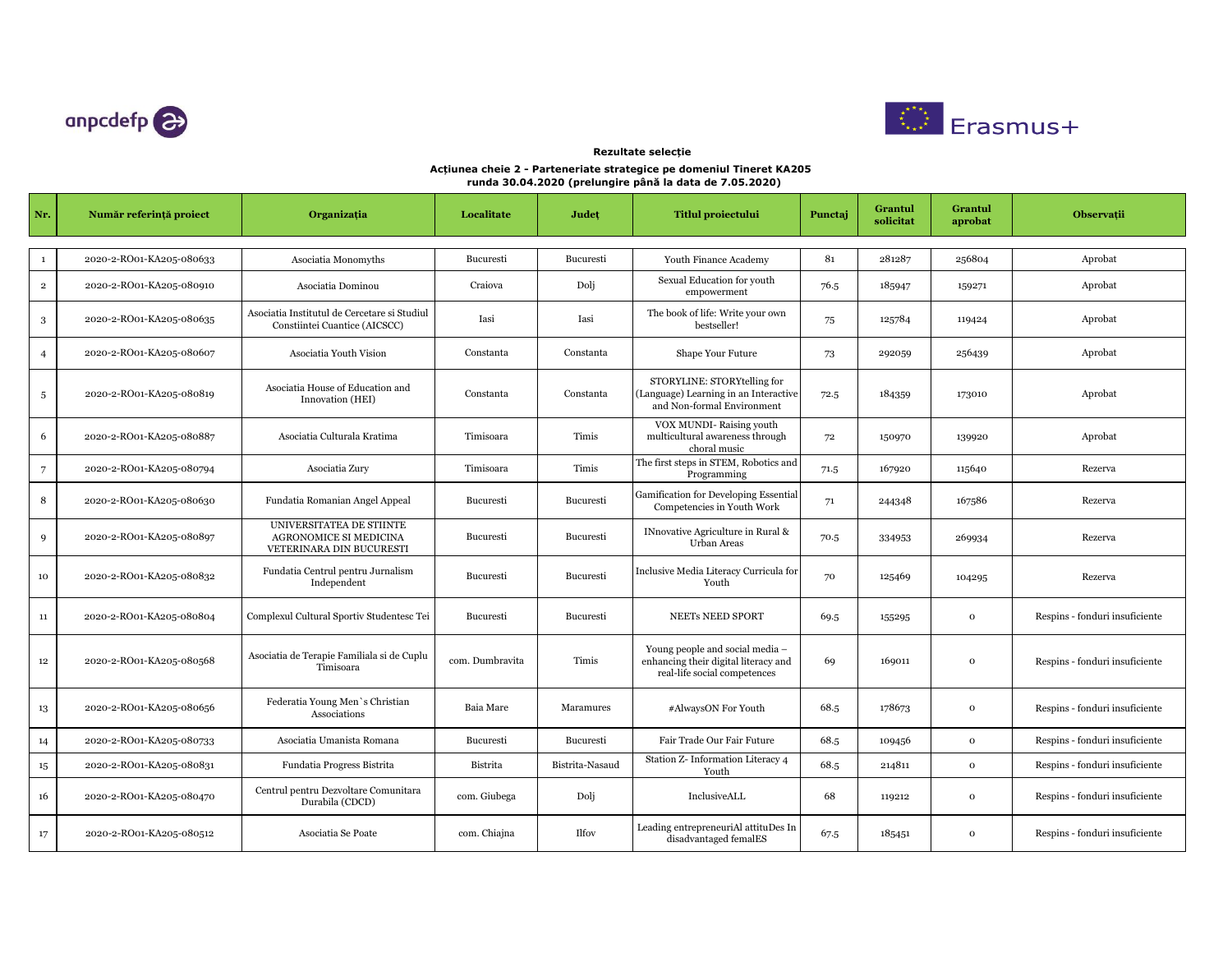



## **Acțiunea cheie 2 - Parteneriate strategice pe domeniul Tineret KA205 runda 30.04.2020 (prelungire până la data de 7.05.2020) Rezultate selecție**

| Nr.                      | Număr referință proiect  | Organizația                                                                           | Localitate      | Județ           | <b>Titlul proiectului</b>                                                                               | Punctaj | Grantul<br>solicitat | Grantul<br>aprobat | Observații                     |
|--------------------------|--------------------------|---------------------------------------------------------------------------------------|-----------------|-----------------|---------------------------------------------------------------------------------------------------------|---------|----------------------|--------------------|--------------------------------|
| $\mathbf{1}$             | 2020-2-RO01-KA205-080633 | Asociatia Monomyths                                                                   | Bucuresti       | Bucuresti       | Youth Finance Academy                                                                                   | 81      | 281287               | 256804             | Aprobat                        |
|                          |                          |                                                                                       |                 |                 | Sexual Education for youth                                                                              |         |                      |                    |                                |
| $\,2\,$                  | 2020-2-RO01-KA205-080910 | Asociatia Dominou                                                                     | Craiova         | Dolj            | empowerment                                                                                             | 76.5    | 185947               | 159271             | Aprobat                        |
| 3                        | 2020-2-RO01-KA205-080635 | Asociatia Institutul de Cercetare si Studiul<br>Constiintei Cuantice (AICSCC)         | Iasi            | Iasi            | The book of life: Write your own<br>bestseller!                                                         | 75      | 125784               | 119424             | Aprobat                        |
| $\overline{4}$           | 2020-2-RO01-KA205-080607 | Asociatia Youth Vision                                                                | Constanta       | Constanta       | Shape Your Future                                                                                       | 73      | 292059               | 256439             | Aprobat                        |
| $\sqrt{5}$               | 2020-2-RO01-KA205-080819 | Asociatia House of Education and<br>Innovation (HEI)                                  | Constanta       | Constanta       | STORYLINE: STORYtelling for<br>(Language) Learning in an Interactive<br>and Non-formal Environment      | 72.5    | 184359               | 173010             | Aprobat                        |
| 6                        | 2020-2-RO01-KA205-080887 | Asociatia Culturala Kratima                                                           | Timisoara       | Timis           | VOX MUNDI-Raising youth<br>multicultural awareness through<br>choral music                              | 72      | 150970               | 139920             | Aprobat                        |
| $\overline{\phantom{a}}$ | 2020-2-RO01-KA205-080794 | Asociatia Zury                                                                        | Timisoara       | Timis           | The first steps in STEM, Robotics and<br>Programming                                                    | 71.5    | 167920               | 115640             | Rezerva                        |
| 8                        | 2020-2-RO01-KA205-080630 | Fundatia Romanian Angel Appeal                                                        | Bucuresti       | Bucuresti       | Gamification for Developing Essential<br>Competencies in Youth Work                                     | 71      | 244348               | 167586             | Rezerva                        |
| 9                        | 2020-2-RO01-KA205-080897 | UNIVERSITATEA DE STIINTE<br><b>AGRONOMICE SI MEDICINA</b><br>VETERINARA DIN BUCURESTI | Bucuresti       | Bucuresti       | INnovative Agriculture in Rural &<br><b>Urban Areas</b>                                                 | 70.5    | 334953               | 269934             | Rezerva                        |
| 10                       | 2020-2-RO01-KA205-080832 | Fundatia Centrul pentru Jurnalism<br>Independent                                      | Bucuresti       | Bucuresti       | Inclusive Media Literacy Curricula for<br>Youth                                                         | 70      | 125469               | 104295             | Rezerva                        |
| 11                       | 2020-2-RO01-KA205-080804 | Complexul Cultural Sportiv Studentesc Tei                                             | Bucuresti       | Bucuresti       | <b>NEETs NEED SPORT</b>                                                                                 | 69.5    | 155295               | $\mathbf{o}$       | Respins - fonduri insuficiente |
| $12\phantom{.0}$         | 2020-2-RO01-KA205-080568 | Asociatia de Terapie Familiala si de Cuplu<br>Timisoara                               | com. Dumbravita | Timis           | Young people and social media -<br>enhancing their digital literacy and<br>real-life social competences | 69      | 169011               | $\mathbf{o}$       | Respins - fonduri insuficiente |
| 13                       | 2020-2-RO01-KA205-080656 | Federatia Young Men's Christian<br>Associations                                       | Baia Mare       | Maramures       | #AlwaysON For Youth                                                                                     | 68.5    | 178673               | $\mathbf 0$        | Respins - fonduri insuficiente |
| 14                       | 2020-2-RO01-KA205-080733 | Asociatia Umanista Romana                                                             | Bucuresti       | Bucuresti       | Fair Trade Our Fair Future                                                                              | 68.5    | 109456               | $\mathbf{o}$       | Respins - fonduri insuficiente |
| $15\,$                   | 2020-2-RO01-KA205-080831 | Fundatia Progress Bistrita                                                            | Bistrita        | Bistrita-Nasaud | Station Z- Information Literacy 4<br>Youth                                                              | 68.5    | 214811               | $\mathbf{o}$       | Respins - fonduri insuficiente |
| 16                       | 2020-2-RO01-KA205-080470 | Centrul pentru Dezvoltare Comunitara<br>Durabila (CDCD)                               | com. Giubega    | Dolj            | InclusiveALL                                                                                            | 68      | 119212               | $\mathbf{o}$       | Respins - fonduri insuficiente |
| 17                       | 2020-2-RO01-KA205-080512 | Asociatia Se Poate                                                                    | com. Chiajna    | <b>Ilfov</b>    | Leading entrepreneuriAl attituDes In<br>disadvantaged femalES                                           | 67.5    | 185451               | $\mathbf{o}$       | Respins - fonduri insuficiente |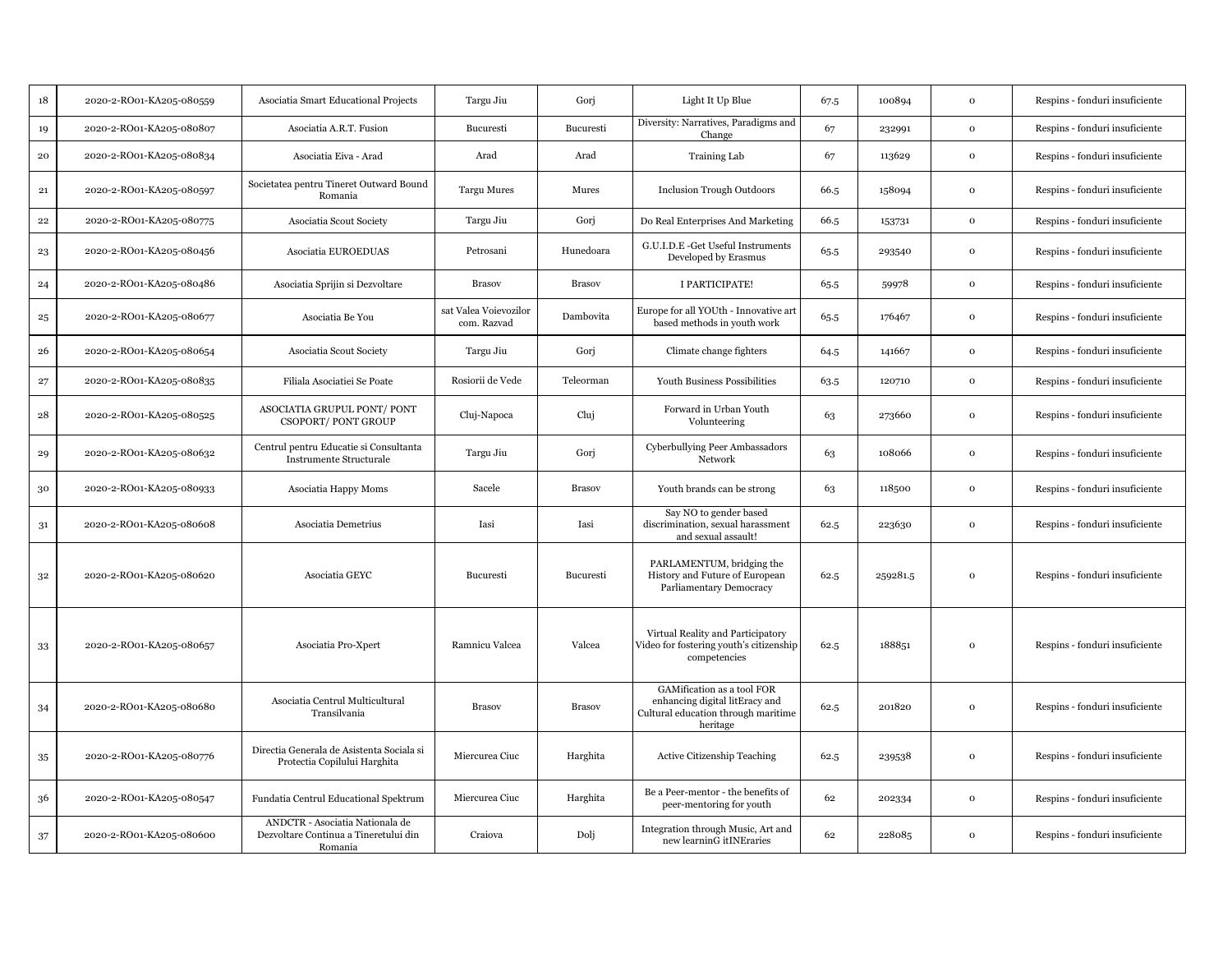| 18          | 2020-2-RO01-KA205-080559 | Asociatia Smart Educational Projects                                                | Targu Jiu                            | Gorj          | Light It Up Blue                                                                                                | 67.5 | 100894   | $\Omega$     | Respins - fonduri insuficiente |
|-------------|--------------------------|-------------------------------------------------------------------------------------|--------------------------------------|---------------|-----------------------------------------------------------------------------------------------------------------|------|----------|--------------|--------------------------------|
| 19          | 2020-2-RO01-KA205-080807 | Asociatia A.R.T. Fusion                                                             | Bucuresti                            | Bucuresti     | Diversity: Narratives, Paradigms and<br>Change                                                                  | 67   | 232991   | $\mathbf 0$  | Respins - fonduri insuficiente |
| ${\bf 20}$  | 2020-2-RO01-KA205-080834 | Asociatia Eiva - Arad                                                               | Arad                                 | Arad          | <b>Training Lab</b>                                                                                             | 67   | 113629   | $\mathbf 0$  | Respins - fonduri insuficiente |
| $\bf{21}$   | 2020-2-RO01-KA205-080597 | Societatea pentru Tineret Outward Bound<br>Romania                                  | <b>Targu Mures</b>                   | Mures         | <b>Inclusion Trough Outdoors</b>                                                                                | 66.5 | 158094   | $\mathbf{o}$ | Respins - fonduri insuficiente |
| ${\bf 22}$  | 2020-2-RO01-KA205-080775 | Asociatia Scout Society                                                             | Targu Jiu                            | Gorj          | Do Real Enterprises And Marketing                                                                               | 66.5 | 153731   | $\mathbf 0$  | Respins - fonduri insuficiente |
| 23          | 2020-2-RO01-KA205-080456 | Asociatia EUROEDUAS                                                                 | Petrosani                            | Hunedoara     | G.U.I.D.E -Get Useful Instruments<br>Developed by Erasmus                                                       | 65.5 | 293540   | $\Omega$     | Respins - fonduri insuficiente |
| 24          | 2020-2-RO01-KA205-080486 | Asociatia Sprijin si Dezvoltare                                                     | <b>Brasov</b>                        | <b>Brasov</b> | I PARTICIPATE!                                                                                                  | 65.5 | 59978    | $\mathbf 0$  | Respins - fonduri insuficiente |
| $\bf 25$    | 2020-2-RO01-KA205-080677 | Asociatia Be You                                                                    | sat Valea Voievozilor<br>com. Razvad | Dambovita     | Europe for all YOUth - Innovative art<br>based methods in youth work                                            | 65.5 | 176467   | $\mathbf 0$  | Respins - fonduri insuficiente |
| 26          | 2020-2-RO01-KA205-080654 | Asociatia Scout Society                                                             | Targu Jiu                            | Gorj          | Climate change fighters                                                                                         | 64.5 | 141667   | $\mathbf{o}$ | Respins - fonduri insuficiente |
| $\bf{27}$   | 2020-2-RO01-KA205-080835 | Filiala Asociatiei Se Poate                                                         | Rosiorii de Vede                     | Teleorman     | Youth Business Possibilities                                                                                    | 63.5 | 120710   | $\mathbf{o}$ | Respins - fonduri insuficiente |
| ${\bf 28}$  | 2020-2-RO01-KA205-080525 | ASOCIATIA GRUPUL PONT/PONT<br>CSOPORT/PONT GROUP                                    | Cluj-Napoca                          | Cluj          | Forward in Urban Youth<br>Volunteering                                                                          | 63   | 273660   | $\Omega$     | Respins - fonduri insuficiente |
| 29          | 2020-2-RO01-KA205-080632 | Centrul pentru Educatie si Consultanta<br><b>Instrumente Structurale</b>            | Targu Jiu                            | Gori          | Cyberbullying Peer Ambassadors<br>Network                                                                       | 63   | 108066   | $\Omega$     | Respins - fonduri insuficiente |
| 30          | 2020-2-RO01-KA205-080933 | Asociatia Happy Moms                                                                | Sacele                               | <b>Brasov</b> | Youth brands can be strong                                                                                      | 63   | 118500   | $\Omega$     | Respins - fonduri insuficiente |
| $31\,$      | 2020-2-RO01-KA205-080608 | Asociatia Demetrius                                                                 | Iasi                                 | Iasi          | Say NO to gender based<br>discrimination, sexual harassment<br>and sexual assault!                              | 62.5 | 223630   | $\mathbf{o}$ | Respins - fonduri insuficiente |
| $3^{\rm 2}$ | 2020-2-RO01-KA205-080620 | Asociatia GEYC                                                                      | Bucuresti                            | Bucuresti     | PARLAMENTUM, bridging the<br>History and Future of European<br>Parliamentary Democracy                          | 62.5 | 259281.5 | $\Omega$     | Respins - fonduri insuficiente |
| 33          | 2020-2-RO01-KA205-080657 | Asociatia Pro-Xpert                                                                 | Ramnicu Valcea                       | Valcea        | Virtual Reality and Participatory<br>Video for fostering youth's citizenship<br>competencies                    | 62.5 | 188851   | $\Omega$     | Respins - fonduri insuficiente |
| 34          | 2020-2-RO01-KA205-080680 | Asociatia Centrul Multicultural<br>Transilvania                                     | <b>Brasov</b>                        | <b>Brasov</b> | GAMification as a tool FOR<br>enhancing digital litEracy and<br>Cultural education through maritime<br>heritage | 62.5 | 201820   | $\Omega$     | Respins - fonduri insuficiente |
| $35\,$      | 2020-2-RO01-KA205-080776 | Directia Generala de Asistenta Sociala si<br>Protectia Copilului Harghita           | Miercurea Ciuc                       | Harghita      | Active Citizenship Teaching                                                                                     | 62.5 | 239538   | $\Omega$     | Respins - fonduri insuficiente |
| 36          | 2020-2-RO01-KA205-080547 | Fundatia Centrul Educational Spektrum                                               | Miercurea Ciuc                       | Harghita      | Be a Peer-mentor - the benefits of<br>peer-mentoring for youth                                                  | 62   | 202334   | $\mathbf{o}$ | Respins - fonduri insuficiente |
| 37          | 2020-2-RO01-KA205-080600 | ANDCTR - Asociatia Nationala de<br>Dezvoltare Continua a Tineretului din<br>Romania | Craiova                              | Dolj          | Integration through Music, Art and<br>new learninG itINEraries                                                  | 62   | 228085   | $\mathbf{o}$ | Respins - fonduri insuficiente |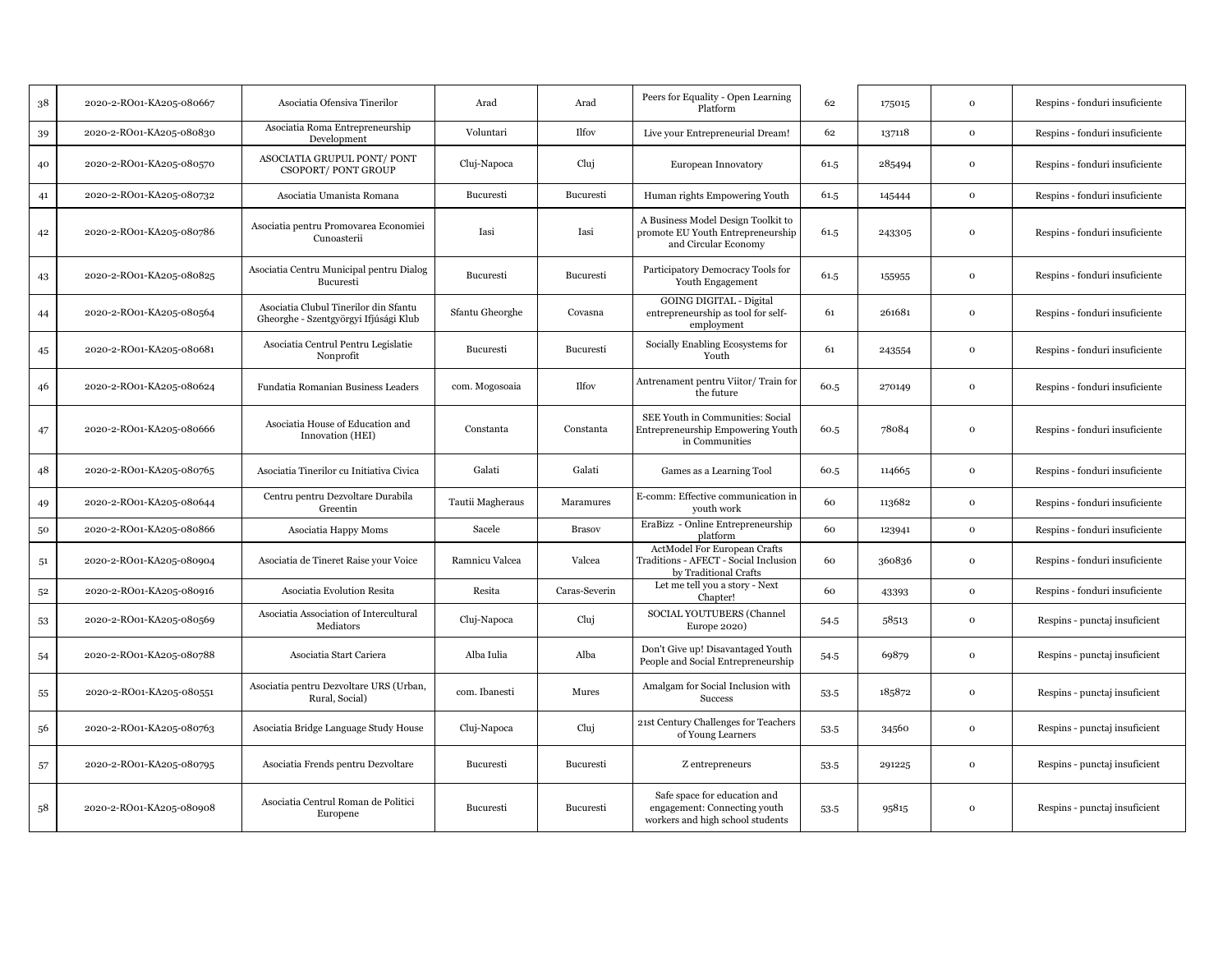| 38             | 2020-2-RO01-KA205-080667 | Asociatia Ofensiva Tinerilor                                                   | Arad             | Arad          | Peers for Equality - Open Learning<br>Platform                                                   | 62   | 175015 | $\Omega$     | Respins - fonduri insuficiente |
|----------------|--------------------------|--------------------------------------------------------------------------------|------------------|---------------|--------------------------------------------------------------------------------------------------|------|--------|--------------|--------------------------------|
| 39             | 2020-2-RO01-KA205-080830 | Asociatia Roma Entrepreneurship<br>Development                                 | Voluntari        | <b>Ilfov</b>  | Live your Entrepreneurial Dream!                                                                 | 62   | 137118 | $\mathbf 0$  | Respins - fonduri insuficiente |
| 40             | 2020-2-RO01-KA205-080570 | ASOCIATIA GRUPUL PONT/PONT<br><b>CSOPORT/PONT GROUP</b>                        | Cluj-Napoca      | Cluj          | European Innovatory                                                                              | 61.5 | 285494 | $\mathbf 0$  | Respins - fonduri insuficiente |
| 41             | 2020-2-RO01-KA205-080732 | Asociatia Umanista Romana                                                      | Bucuresti        | Bucuresti     | Human rights Empowering Youth                                                                    | 61.5 | 145444 | $\mathbf 0$  | Respins - fonduri insuficiente |
| 42             | 2020-2-RO01-KA205-080786 | Asociatia pentru Promovarea Economiei<br>Cunoasterii                           | Iasi             | Iasi          | A Business Model Design Toolkit to<br>promote EU Youth Entrepreneurship<br>and Circular Economy  | 61.5 | 243305 | $\mathbf{o}$ | Respins - fonduri insuficiente |
| 43             | 2020-2-RO01-KA205-080825 | Asociatia Centru Municipal pentru Dialog<br>Bucuresti                          | Bucuresti        | Bucuresti     | Participatory Democracy Tools for<br>Youth Engagement                                            | 61.5 | 155955 | $\Omega$     | Respins - fonduri insuficiente |
| 44             | 2020-2-RO01-KA205-080564 | Asociatia Clubul Tinerilor din Sfantu<br>Gheorghe - Szentgyörgyi Ifjúsági Klub | Sfantu Gheorghe  | Covasna       | <b>GOING DIGITAL - Digital</b><br>entrepreneurship as tool for self-<br>employment               | 61   | 261681 | $\mathbf 0$  | Respins - fonduri insuficiente |
| 45             | 2020-2-RO01-KA205-080681 | Asociatia Centrul Pentru Legislatie<br>Nonprofit                               | Bucuresti        | Bucuresti     | Socially Enabling Ecosystems for<br>Youth                                                        | 61   | 243554 | $\Omega$     | Respins - fonduri insuficiente |
| 46             | 2020-2-RO01-KA205-080624 | Fundatia Romanian Business Leaders                                             | com. Mogosoaia   | <b>Ilfov</b>  | Antrenament pentru Viitor/Train for<br>the future                                                | 60.5 | 270149 | $\mathbf{o}$ | Respins - fonduri insuficiente |
| 47             | 2020-2-RO01-KA205-080666 | Asociatia House of Education and<br>Innovation (HEI)                           | Constanta        | Constanta     | SEE Youth in Communities: Social<br>Entrepreneurship Empowering Youth<br>in Communities          | 60.5 | 78084  | $\Omega$     | Respins - fonduri insuficiente |
| 48             | 2020-2-RO01-KA205-080765 | Asociatia Tinerilor cu Initiativa Civica                                       | Galati           | Galati        | Games as a Learning Tool                                                                         | 60.5 | 114665 | $\Omega$     | Respins - fonduri insuficiente |
| 49             | 2020-2-RO01-KA205-080644 | Centru pentru Dezvoltare Durabila<br>Greentin                                  | Tautii Magheraus | Maramures     | E-comm: Effective communication in<br>youth work                                                 | 60   | 113682 | $\mathbf{o}$ | Respins - fonduri insuficiente |
| 50             | 2020-2-RO01-KA205-080866 | Asociatia Happy Moms                                                           | Sacele           | <b>Brasov</b> | EraBizz - Online Entrepreneurship<br>platform                                                    | 60   | 123941 | $\mathbf 0$  | Respins - fonduri insuficiente |
| 5 <sup>1</sup> | 2020-2-RO01-KA205-080904 | Asociatia de Tineret Raise your Voice                                          | Ramnicu Valcea   | Valcea        | ActModel For European Crafts<br>Traditions - AFECT - Social Inclusion<br>by Traditional Crafts   | 60   | 360836 | $\Omega$     | Respins - fonduri insuficiente |
| $5^{\rm 2}$    | 2020-2-RO01-KA205-080916 | Asociatia Evolution Resita                                                     | Resita           | Caras-Severin | Let me tell you a story - Next<br>Chapter!                                                       | 60   | 43393  | $\mathbf{o}$ | Respins - fonduri insuficiente |
| 53             | 2020-2-RO01-KA205-080569 | Asociatia Association of Intercultural<br>Mediators                            | Cluj-Napoca      | Cluj          | SOCIAL YOUTUBERS (Channel<br>Europe 2020)                                                        | 54.5 | 58513  | $\mathbf{o}$ | Respins - punctaj insuficient  |
| 54             | 2020-2-RO01-KA205-080788 | Asociatia Start Cariera                                                        | Alba Iulia       | Alba          | Don't Give up! Disavantaged Youth<br>People and Social Entrepreneurship                          | 54.5 | 69879  | $\mathbf{o}$ | Respins - punctaj insuficient  |
| 55             | 2020-2-RO01-KA205-080551 | Asociatia pentru Dezvoltare URS (Urban,<br>Rural, Social)                      | com. Ibanesti    | Mures         | Amalgam for Social Inclusion with<br><b>Success</b>                                              | 53.5 | 185872 | $\Omega$     | Respins - punctaj insuficient  |
| 56             | 2020-2-RO01-KA205-080763 | Asociatia Bridge Language Study House                                          | Cluj-Napoca      | Cluj          | 21st Century Challenges for Teachers<br>of Young Learners                                        | 53.5 | 34560  | $\mathbf{o}$ | Respins - punctaj insuficient  |
| 57             | 2020-2-RO01-KA205-080795 | Asociatia Frends pentru Dezvoltare                                             | Bucuresti        | Bucuresti     | Z entrepreneurs                                                                                  | 53.5 | 291225 | $\mathbf{o}$ | Respins - punctaj insuficient  |
| 58             | 2020-2-RO01-KA205-080908 | Asociatia Centrul Roman de Politici<br>Europene                                | Bucuresti        | Bucuresti     | Safe space for education and<br>engagement: Connecting youth<br>workers and high school students | 53.5 | 95815  | $\Omega$     | Respins - punctaj insuficient  |